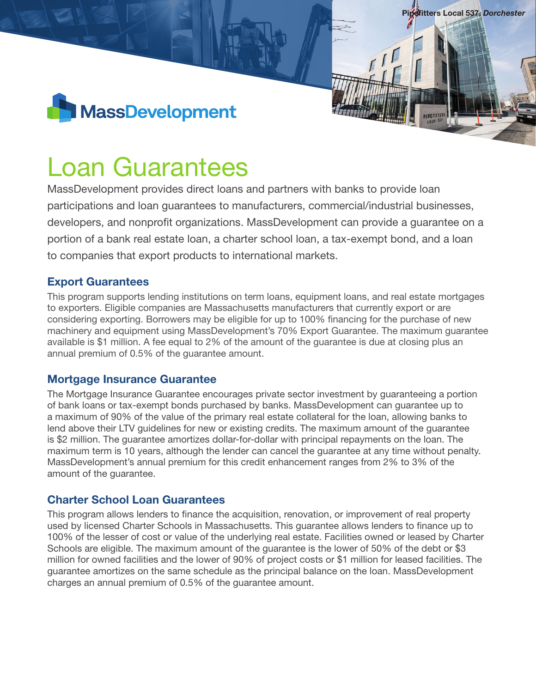

# Loan Guarantees

MassDevelopment provides direct loans and partners with banks to provide loan participations and loan guarantees to manufacturers, commercial/industrial businesses, developers, and nonprofit organizations. MassDevelopment can provide a guarantee on a portion of a bank real estate loan, a charter school loan, a tax-exempt bond, and a loan to companies that export products to international markets.

Pipefitters Local 537, *Dorchester*

### Export Guarantees

This program supports lending institutions on term loans, equipment loans, and real estate mortgages to exporters. Eligible companies are Massachusetts manufacturers that currently export or are considering exporting. Borrowers may be eligible for up to 100% financing for the purchase of new machinery and equipment using MassDevelopment's 70% Export Guarantee. The maximum guarantee available is \$1 million. A fee equal to 2% of the amount of the guarantee is due at closing plus an annual premium of 0.5% of the guarantee amount.

### Mortgage Insurance Guarantee

The Mortgage Insurance Guarantee encourages private sector investment by guaranteeing a portion of bank loans or tax-exempt bonds purchased by banks. MassDevelopment can guarantee up to a maximum of 90% of the value of the primary real estate collateral for the loan, allowing banks to lend above their LTV guidelines for new or existing credits. The maximum amount of the guarantee is \$2 million. The guarantee amortizes dollar-for-dollar with principal repayments on the loan. The maximum term is 10 years, although the lender can cancel the guarantee at any time without penalty. MassDevelopment's annual premium for this credit enhancement ranges from 2% to 3% of the amount of the guarantee.

# Charter School Loan Guarantees

This program allows lenders to finance the acquisition, renovation, or improvement of real property used by licensed Charter Schools in Massachusetts. This guarantee allows lenders to finance up to 100% of the lesser of cost or value of the underlying real estate. Facilities owned or leased by Charter Schools are eligible. The maximum amount of the guarantee is the lower of 50% of the debt or \$3 million for owned facilities and the lower of 90% of project costs or \$1 million for leased facilities. The guarantee amortizes on the same schedule as the principal balance on the loan. MassDevelopment charges an annual premium of 0.5% of the guarantee amount.